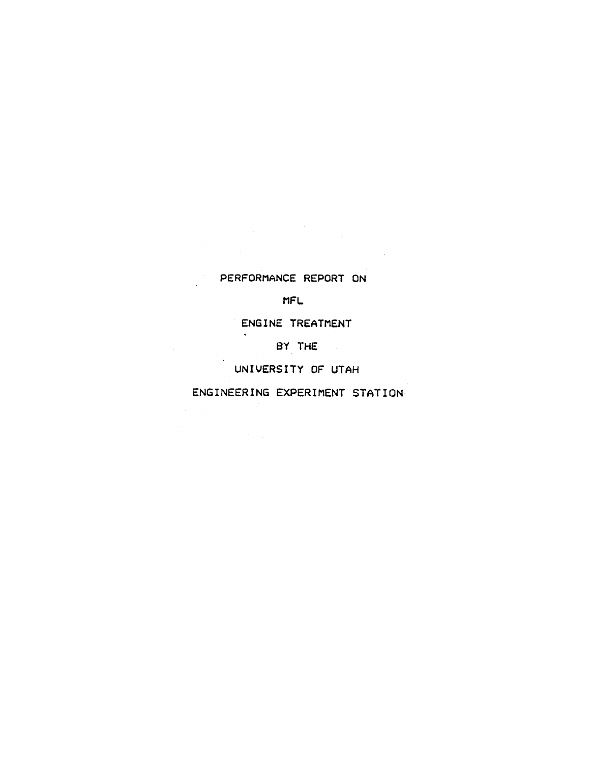# PERFORMANCE REPORT ON

 $\label{eq:2.1} \begin{split} \mathcal{L}_{\text{max}}(\mathbf{r}) & = \frac{1}{2} \mathcal{L}_{\text{max}}(\mathbf{r}) \mathcal{L}_{\text{max}}(\mathbf{r}) \\ & = \frac{1}{2} \mathcal{L}_{\text{max}}(\mathbf{r}) \mathcal{L}_{\text{max}}(\mathbf{r}) \mathcal{L}_{\text{max}}(\mathbf{r}) \mathcal{L}_{\text{max}}(\mathbf{r}) \mathcal{L}_{\text{max}}(\mathbf{r}) \mathcal{L}_{\text{max}}(\mathbf{r}) \mathcal{L}_{\text{max}}(\mathbf{r}) \mathcal{L}_{\text{max}}(\mathbf{r})$ 

 $\mathcal{A}^{\mathcal{A}}$ 

## MFL

# ENGINE TREATMENT

BY THE

# UNIVERSITY OF UTAH

# ENGINEERING EXPERIMENT STATION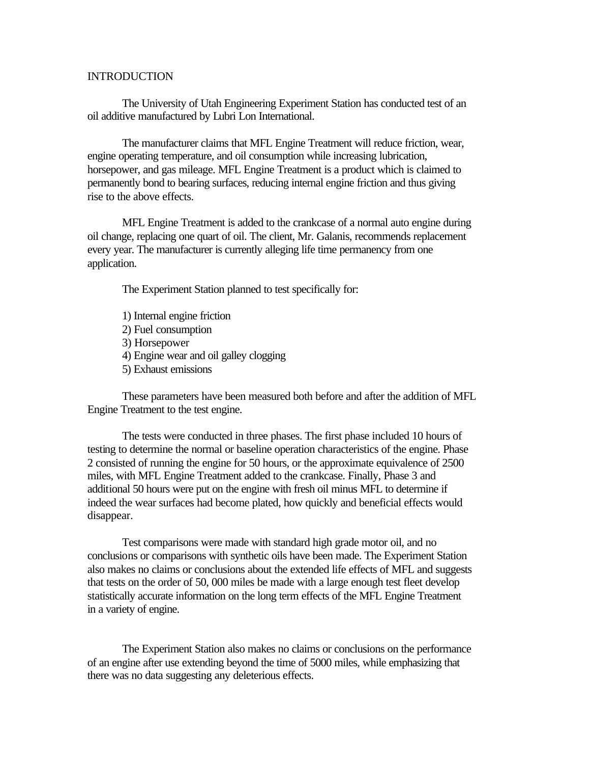### **INTRODUCTION**

The University of Utah Engineering Experiment Station has conducted test of an oil additive manufactured by Lubri Lon International.

The manufacturer claims that MFL Engine Treatment will reduce friction, wear, engine operating temperature, and oil consumption while increasing lubrication, horsepower, and gas mileage. MFL Engine Treatment is a product which is claimed to permanently bond to bearing surfaces, reducing internal engine friction and thus giving rise to the above effects.

MFL Engine Treatment is added to the crankcase of a normal auto engine during oil change, replacing one quart of oil. The client, Mr. Galanis, recommends replacement every year. The manufacturer is currently alleging life time permanency from one application.

The Experiment Station planned to test specifically for:

1) Internal engine friction 2) Fuel consumption 3) Horsepower 4) Engine wear and oil galley clogging 5) Exhaust emissions

These parameters have been measured both before and after the addition of MFL Engine Treatment to the test engine.

The tests were conducted in three phases. The first phase included 10 hours of testing to determine the normal or baseline operation characteristics of the engine. Phase 2 consisted of running the engine for 50 hours, or the approximate equivalence of 2500 miles, with MFL Engine Treatment added to the crankcase. Finally, Phase 3 and additional 50 hours were put on the engine with fresh oil minus MFL to determine if indeed the wear surfaces had become plated, how quickly and beneficial effects would disappear.

Test comparisons were made with standard high grade motor oil, and no conclusions or comparisons with synthetic oils have been made. The Experiment Station also makes no claims or conclusions about the extended life effects of MFL and suggests that tests on the order of 50, 000 miles be made with a large enough test fleet develop statistically accurate information on the long term effects of the MFL Engine Treatment in a variety of engine.

The Experiment Station also makes no claims or conclusions on the performance of an engine after use extending beyond the time of 5000 miles, while emphasizing that there was no data suggesting any deleterious effects.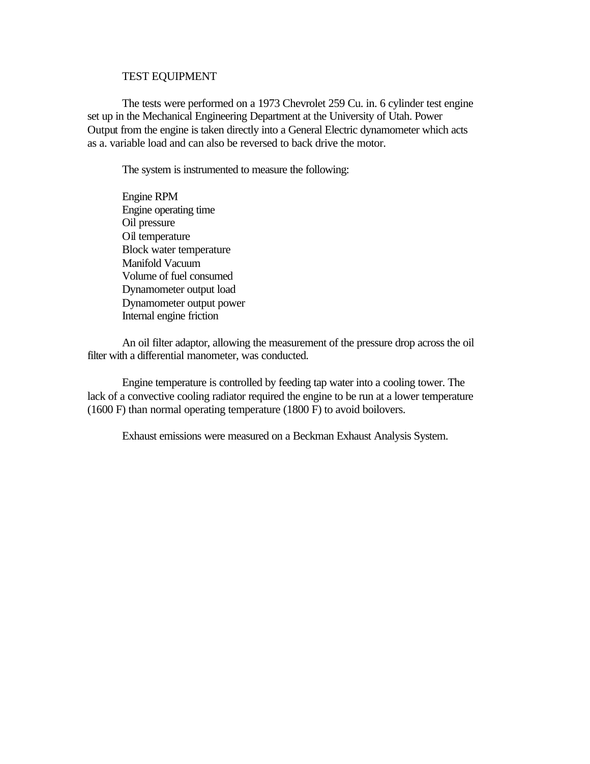#### TEST EQUIPMENT

The tests were performed on a 1973 Chevrolet 259 Cu. in. 6 cylinder test engine set up in the Mechanical Engineering Department at the University of Utah. Power Output from the engine is taken directly into a General Electric dynamometer which acts as a. variable load and can also be reversed to back drive the motor.

The system is instrumented to measure the following:

Engine RPM Engine operating time Oil pressure Oil temperature Block water temperature Manifold Vacuum Volume of fuel consumed Dynamometer output load Dynamometer output power Internal engine friction

An oil filter adaptor, allowing the measurement of the pressure drop across the oil filter with a differential manometer, was conducted.

Engine temperature is controlled by feeding tap water into a cooling tower. The lack of a convective cooling radiator required the engine to be run at a lower temperature (1600 F) than normal operating temperature (1800 F) to avoid boilovers.

Exhaust emissions were measured on a Beckman Exhaust Analysis System.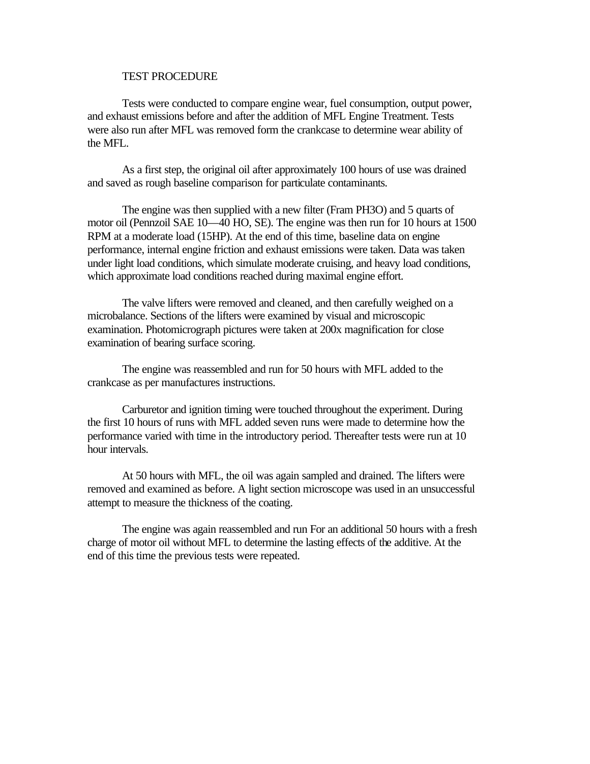#### TEST PROCEDURE

Tests were conducted to compare engine wear, fuel consumption, output power, and exhaust emissions before and after the addition of MFL Engine Treatment. Tests were also run after MFL was removed form the crankcase to determine wear ability of the MFL.

As a first step, the original oil after approximately 100 hours of use was drained and saved as rough baseline comparison for particulate contaminants.

The engine was then supplied with a new filter (Fram PH3O) and 5 quarts of motor oil (Pennzoil SAE 10—40 HO, SE). The engine was then run for 10 hours at 1500 RPM at a moderate load (15HP). At the end of this time, baseline data on engine performance, internal engine friction and exhaust emissions were taken. Data was taken under light load conditions, which simulate moderate cruising, and heavy load conditions, which approximate load conditions reached during maximal engine effort.

The valve lifters were removed and cleaned, and then carefully weighed on a microbalance. Sections of the lifters were examined by visual and microscopic examination. Photomicrograph pictures were taken at 200x magnification for close examination of bearing surface scoring.

The engine was reassembled and run for 50 hours with MFL added to the crankcase as per manufactures instructions.

Carburetor and ignition timing were touched throughout the experiment. During the first 10 hours of runs with MFL added seven runs were made to determine how the performance varied with time in the introductory period. Thereafter tests were run at 10 hour intervals.

At 50 hours with MFL, the oil was again sampled and drained. The lifters were removed and examined as before. A light section microscope was used in an unsuccessful attempt to measure the thickness of the coating.

The engine was again reassembled and run For an additional 50 hours with a fresh charge of motor oil without MFL to determine the lasting effects of the additive. At the end of this time the previous tests were repeated.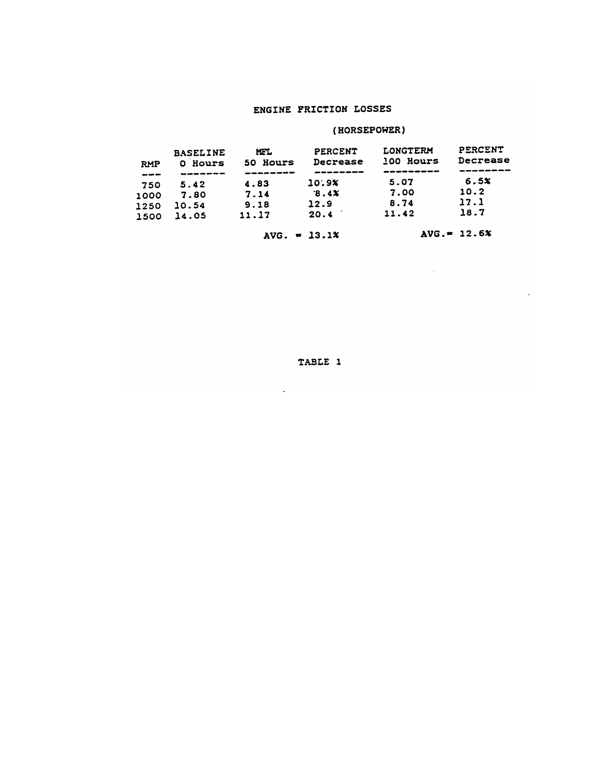## ENGINE FRICTION LOSSES

# (HORSEPOWER)

| <b>RMP</b><br>المعاصراتين | <b>BASELINE</b><br>Hours<br>n.<br>------- | MFL.<br>50 Hours<br>-------- | PERCENT<br>Decrease | <b>LONGTERM</b><br>100 Hours<br>---------- | PERCENT<br>Decrease<br>---------- |
|---------------------------|-------------------------------------------|------------------------------|---------------------|--------------------------------------------|-----------------------------------|
| 750                       | 5.42                                      | 4.83                         | 10:9%               | 5.07                                       | 6.5x                              |
| 1000                      | 7.80                                      | 7.14                         | 8.4x                | 7.00                                       | 10.2                              |
| 1250                      | 10.54                                     | 9.18                         | 12.9                | 8.74                                       | 17.1                              |
| 1500                      | 14.05                                     | 11.17                        | 20.4                | 11.42                                      | 18.7                              |

 $AVG. = 13.1%$ 

 $AVG = 12.6%$ 

 $\lambda$ 

 $\sim 10^{-11}$ 

TABLE 1

 $\sim 10^{-10}$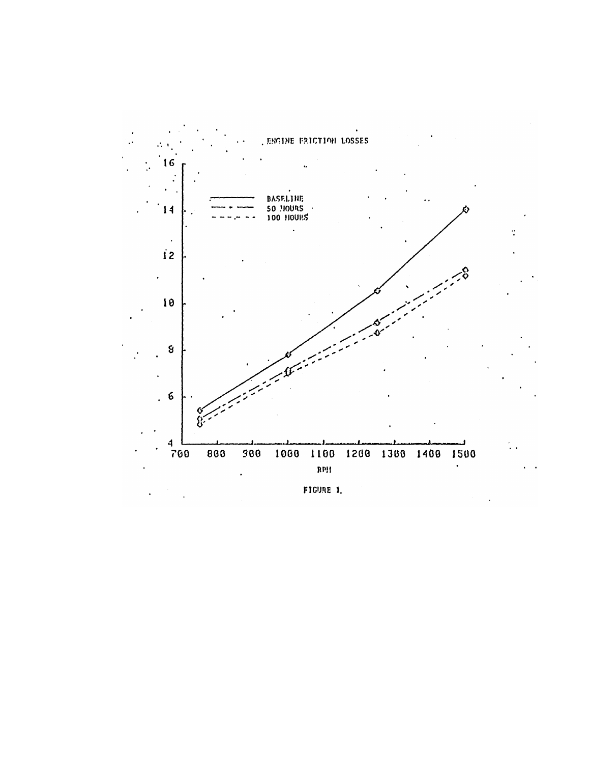

FIGURE 1.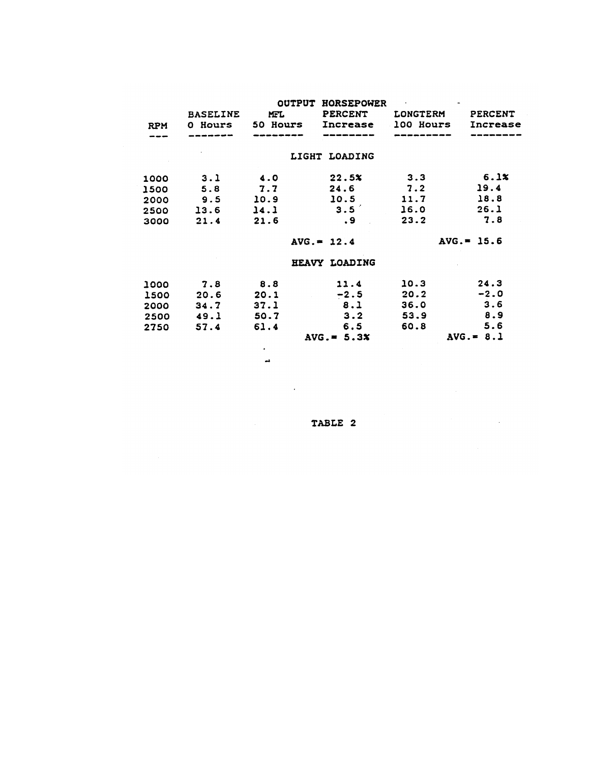| <b>RPM</b> | <b>BASELINE</b><br>0 Hours | <b>OUTPUT</b><br><b>MFL</b><br>50 Hours | <b>HORSEPOWER</b><br><b>PERCENT</b><br>Increase | LONGTERM<br>100 Hours | PERCENT<br>Increase |
|------------|----------------------------|-----------------------------------------|-------------------------------------------------|-----------------------|---------------------|
|            |                            |                                         | LIGHT LOADING                                   |                       |                     |
| 1000       | 3.1                        | 4.0                                     | 22.5x                                           | 3.3                   | 6.1x                |
| 1500       | 5.8                        | 7.7                                     | 24.6                                            | 7.2                   | 19.4                |
| 2000       | 9.5                        | 10.9                                    | 10.5                                            | 11.7                  | 18.8                |
| 2500       | 13.6                       | 14.1                                    | 3.5                                             | 16.0                  | 26.1                |
| 3000       | 21.4                       | 21.6                                    | . 9                                             | 23.2                  | 7.8                 |
|            |                            |                                         | $AVG = 12.4$                                    |                       | $AVG. = 15.6$       |
|            |                            |                                         | HEAVY LOADING                                   |                       |                     |
| 1000       | 7.8                        | 8.8                                     | 11.4                                            | 10.3                  | 24.3                |
| 1500       | 20.6                       | 20.1                                    | $-2.5$                                          | 20.2                  | $-2.0$              |
| 2000       | 34.7                       | 37.1                                    | 8.1                                             | 36.0                  | 3.6                 |
| 2500       | 49.1                       | 50.7                                    | 3.2                                             | 53.9                  | 8.9                 |
| 2750       | 57.4                       | 61.4                                    | 6.5                                             | 60.8                  | 5.6                 |
|            |                            |                                         | $AVG. = 5.3x$                                   |                       | $AVG = 8.1$         |
|            |                            |                                         |                                                 |                       |                     |

TABLE 2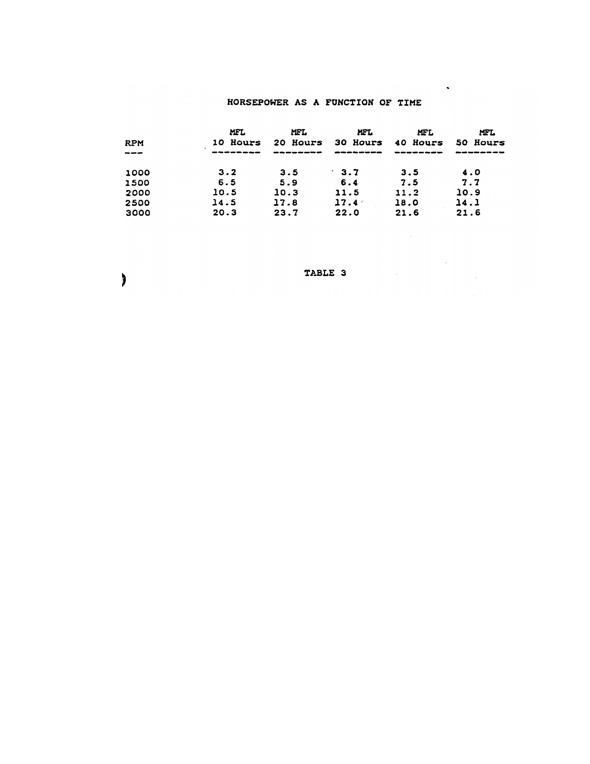## HORSEPOWER AS A FUNCTION OF TIME

 $\hat{\phantom{a}}$ 

 $\label{eq:2} \frac{1}{\sqrt{2}}\sum_{i=1}^n\frac{1}{\sqrt{2\pi}}\sum_{i=1}^n\frac{1}{\sqrt{2\pi}}\sum_{i=1}^n\frac{1}{\sqrt{2\pi}}\sum_{i=1}^n\frac{1}{\sqrt{2\pi}}\sum_{i=1}^n\frac{1}{\sqrt{2\pi}}\sum_{i=1}^n\frac{1}{\sqrt{2\pi}}\sum_{i=1}^n\frac{1}{\sqrt{2\pi}}\sum_{i=1}^n\frac{1}{\sqrt{2\pi}}\sum_{i=1}^n\frac{1}{\sqrt{2\pi}}\sum_{i=1}^n\frac{1}{$ 

 $\sim 10^{-10}$ 

|            | MFL          | MFL         | MFL         | <b>MFL</b> | <b>MFL</b> |  |
|------------|--------------|-------------|-------------|------------|------------|--|
| <b>RPM</b> | Hours<br>10. | Hours<br>20 | 30 Hours    | 40 Hours   | 50 Hours   |  |
| ----       |              |             |             |            |            |  |
| 1000       | 3.2          | 3.5         | $\cdot$ 3.7 | 3.5        | 4.0        |  |
| 1500       | 6.5          | 5.9         | 6.4         | 7.5        | 7.7        |  |
| 2000       | 10.5         | 10.3        | 11.5        | 11.2       | 10.9       |  |
| 2500       | 14.5         | 17.8        | 17.4        | 18.0       | 14.1       |  |
| 3000       | 20.3         | 23.7        | 22.0        | 21.6       | 21.6       |  |

TABLE 3

 $\big)$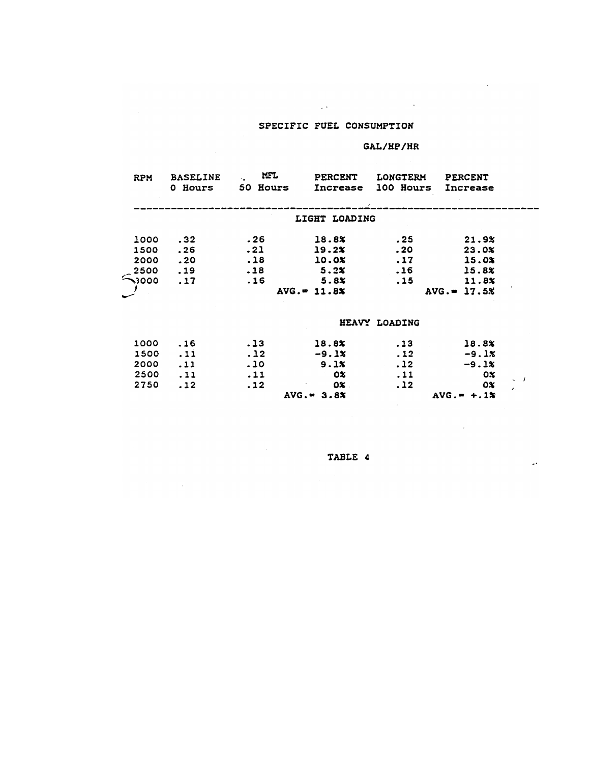#### SPECIFIC FUEL CONSUMPTION

 $\mathcal{L}^{\text{max}}_{\text{max}}$  ,  $\mathcal{L}^{\text{max}}_{\text{max}}$ 

#### $GAL/HP/HR$

 $\sim$   $\sigma$  .

 $\overline{a}$ 

 $\Box$ 

 $\ddot{\phantom{a}}$ 

| <b>RPM</b>  | <b>BASELINE</b><br>0 Hours | <b>MFL</b><br>50 Hours | <b>PERCENT</b><br>Increase | <b>LONGTERM</b><br>100 Hours | <b>PERCENT</b><br>Increase |  |
|-------------|----------------------------|------------------------|----------------------------|------------------------------|----------------------------|--|
|             |                            |                        | LIGHT LOADING              |                              |                            |  |
| 1000        | .32                        | .26                    | 18.8%                      | . 25                         | 21.9%                      |  |
| 1500        | .26                        | .21                    | 19.2x                      | .20                          | 23.0x                      |  |
| 2000        | .20                        | .18                    | 10.0%                      | .17                          | 15.0%                      |  |
| 2500        | .19                        | .18                    | 5.2%                       | .16                          | 15.8%                      |  |
| $\sim$ 3000 | .17                        | .16                    | 5.8%                       | .15                          | 11.8%                      |  |
|             |                            |                        | $AVG = 11.8x$              |                              | $AVG = 17.5%$              |  |
|             |                            |                        |                            | HEAVY LOADING                |                            |  |
| 1000        | .16                        | .13                    | 18.8%                      | .13                          | 18.8%                      |  |
| 1500        | .11                        | .12                    | $-9.1x$                    | .12                          | $-9.1x$                    |  |
| 2000        | .11                        | .10                    | 9.1x                       | .12                          | $-9.1%$                    |  |
| 2500        | .11                        | .11                    | ОX                         | .11                          | O%                         |  |
| 2750        | .12                        | .12                    | 0%                         | .12                          | $\mathbf{0}$               |  |
|             |                            |                        | $AVG. = 3.8X$              |                              | $AVG. = +.1%$              |  |

TABLE 4